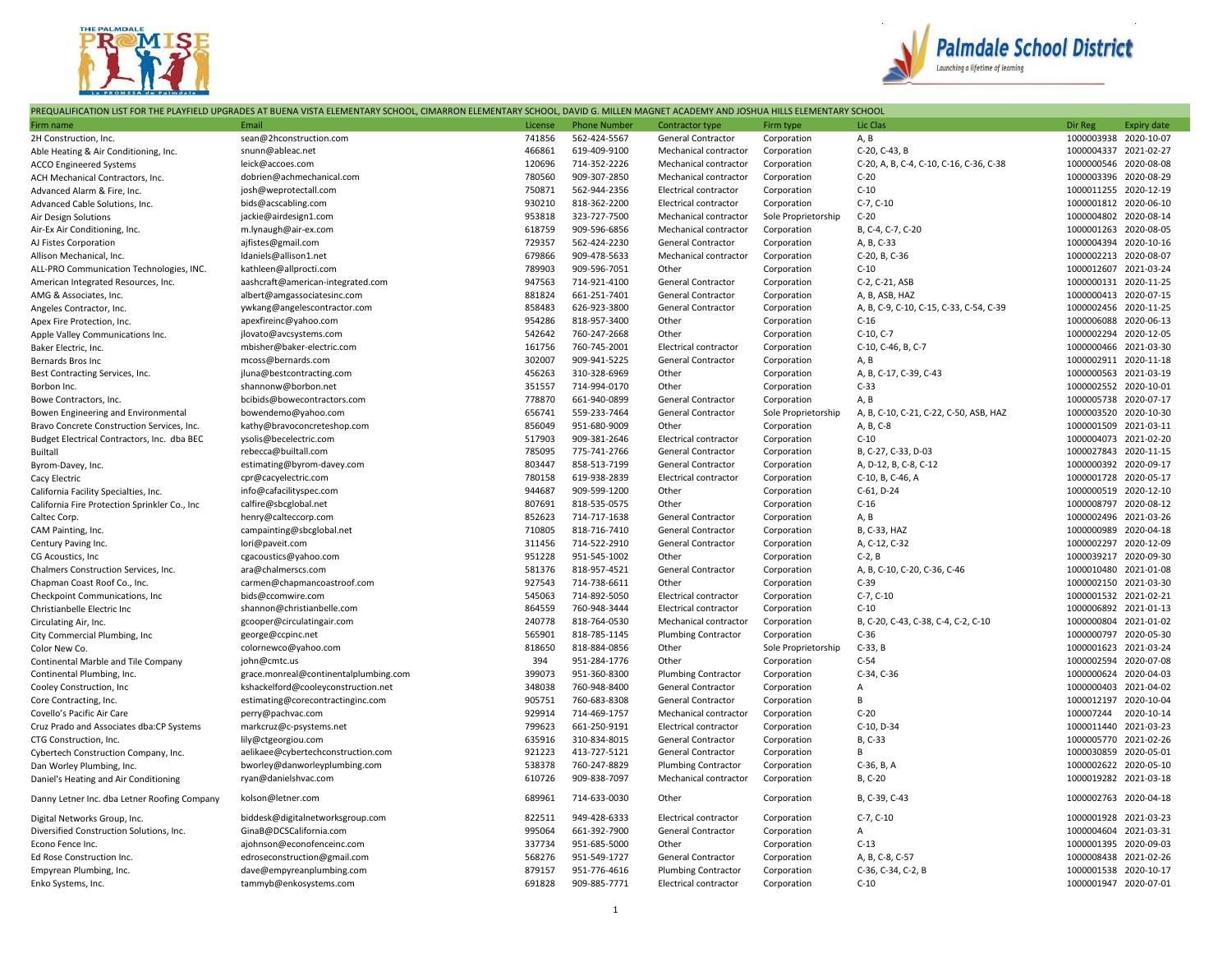



|  | PREQUALIFICATION LIST FOR THE PLAYFIELD UPGRADES AT BUENA VISTA ELEMENTARY SCHOOL, CIMARRON ELEMENTARY SCHOOL, DAVID G. MILLEN MAGNET ACADEMY AND JOSHUA HILLS ELEMENTARY SCHOOL |  |
|--|----------------------------------------------------------------------------------------------------------------------------------------------------------------------------------|--|
|  |                                                                                                                                                                                  |  |

| Firm name                                     | Email                                 | License | <b>Phone Number</b> | Contractor type              | Firm type           | Lic Clas                                | Dir Reg               | <b>Expiry date</b> |
|-----------------------------------------------|---------------------------------------|---------|---------------------|------------------------------|---------------------|-----------------------------------------|-----------------------|--------------------|
| 2H Construction, Inc.                         | sean@2hconstruction.com               | 741856  | 562-424-5567        | General Contractor           | Corporation         | A, B                                    | 1000003938 2020-10-07 |                    |
| Able Heating & Air Conditioning, Inc.         | snunn@ableac.net                      | 466861  | 619-409-9100        | Mechanical contractor        | Corporation         | C-20, C-43, B                           | 1000004337 2021-02-27 |                    |
| <b>ACCO Engineered Systems</b>                | leick@accoes.com                      | 120696  | 714-352-2226        | Mechanical contractor        | Corporation         | C-20, A, B, C-4, C-10, C-16, C-36, C-38 | 1000000546 2020-08-08 |                    |
| ACH Mechanical Contractors, Inc.              | dobrien@achmechanical.com             | 780560  | 909-307-2850        | Mechanical contractor        | Corporation         | $C-20$                                  | 1000003396 2020-08-29 |                    |
| Advanced Alarm & Fire, Inc.                   | josh@weprotectall.com                 | 750871  | 562-944-2356        | Electrical contractor        | Corporation         | $C-10$                                  | 1000011255 2020-12-19 |                    |
| Advanced Cable Solutions, Inc.                | bids@acscabling.com                   | 930210  | 818-362-2200        | Electrical contractor        | Corporation         | $C-7, C-10$                             | 1000001812 2020-06-10 |                    |
| Air Design Solutions                          | jackie@airdesign1.com                 | 953818  | 323-727-7500        | Mechanical contractor        | Sole Proprietorship | $C-20$                                  | 1000004802 2020-08-14 |                    |
| Air-Ex Air Conditioning, Inc.                 | m.lynaugh@air-ex.com                  | 618759  | 909-596-6856        | Mechanical contractor        | Corporation         | B, C-4, C-7, C-20                       | 1000001263 2020-08-05 |                    |
| AJ Fistes Corporation                         | ajfistes@gmail.com                    | 729357  | 562-424-2230        | General Contractor           | Corporation         | A, B, C-33                              | 1000004394 2020-10-16 |                    |
| Allison Mechanical, Inc.                      | Idaniels@allison1.net                 | 679866  | 909-478-5633        | Mechanical contractor        | Corporation         | C-20, B, C-36                           | 1000002213 2020-08-07 |                    |
| ALL-PRO Communication Technologies, INC.      | kathleen@allprocti.com                | 789903  | 909-596-7051        | Other                        | Corporation         | $C-10$                                  | 1000012607 2021-03-24 |                    |
| American Integrated Resources, Inc.           | aashcraft@american-integrated.com     | 947563  | 714-921-4100        | General Contractor           | Corporation         | C-2, C-21, ASB                          | 1000000131 2020-11-25 |                    |
| AMG & Associates, Inc.                        | albert@amgassociatesinc.com           | 881824  | 661-251-7401        | General Contractor           | Corporation         | A, B, ASB, HAZ                          | 1000000413 2020-07-15 |                    |
| Angeles Contractor, Inc.                      | ywkang@angelescontractor.com          | 858483  | 626-923-3800        | <b>General Contractor</b>    | Corporation         | A, B, C-9, C-10, C-15, C-33, C-54, C-39 | 1000002456 2020-11-25 |                    |
| Apex Fire Protection, Inc.                    | apexfireinc@yahoo.com                 | 954286  | 818-957-3400        | Other                        | Corporation         | $C-16$                                  | 1000006088 2020-06-13 |                    |
| Apple Valley Communications Inc.              | jlovato@avcsystems.com                | 542642  | 760-247-2668        | Other                        | Corporation         | C-10, C-7                               | 1000002294 2020-12-05 |                    |
| Baker Electric, Inc.                          | mbisher@baker-electric.com            | 161756  | 760-745-2001        | Electrical contractor        | Corporation         | C-10, C-46, B, C-7                      | 1000000466 2021-03-30 |                    |
| Bernards Bros Inc                             | mcoss@bernards.com                    | 302007  | 909-941-5225        | General Contractor           | Corporation         | A, B                                    | 1000002911 2020-11-18 |                    |
| Best Contracting Services, Inc.               | jluna@bestcontracting.com             | 456263  | 310-328-6969        | Other                        | Corporation         | A, B, C-17, C-39, C-43                  | 1000000563 2021-03-19 |                    |
| Borbon Inc.                                   | shannonw@borbon.net                   | 351557  | 714-994-0170        | Other                        | Corporation         | $C-33$                                  | 1000002552 2020-10-01 |                    |
| Bowe Contractors, Inc.                        | bcibids@bowecontractors.com           | 778870  | 661-940-0899        | General Contractor           | Corporation         | A, B                                    | 1000005738 2020-07-17 |                    |
| Bowen Engineering and Environmental           | bowendemo@yahoo.com                   | 656741  | 559-233-7464        | General Contractor           | Sole Proprietorship | A, B, C-10, C-21, C-22, C-50, ASB, HAZ  | 1000003520 2020-10-30 |                    |
| Bravo Concrete Construction Services, Inc.    | kathy@bravoconcreteshop.com           | 856049  | 951-680-9009        | Other                        | Corporation         | A, B, C-8                               | 1000001509 2021-03-11 |                    |
| Budget Electrical Contractors, Inc. dba BEC   | ysolis@becelectric.com                | 517903  | 909-381-2646        | Electrical contractor        | Corporation         | $C-10$                                  | 1000004073 2021-02-20 |                    |
| <b>Builtall</b>                               | rebecca@builtall.com                  | 785095  | 775-741-2766        | General Contractor           | Corporation         | B, C-27, C-33, D-03                     | 1000027843 2020-11-15 |                    |
| Byrom-Davey, Inc.                             | estimating@byrom-davey.com            | 803447  | 858-513-7199        | General Contractor           | Corporation         | A, D-12, B, C-8, C-12                   | 1000000392 2020-09-17 |                    |
| Cacy Electric                                 | cpr@cacyelectric.com                  | 780158  | 619-938-2839        | <b>Electrical contractor</b> | Corporation         | C-10, B, C-46, A                        | 1000001728 2020-05-17 |                    |
| California Facility Specialties, Inc.         | info@cafacilityspec.com               | 944687  | 909-599-1200        | Other                        | Corporation         | C-61, D-24                              | 1000000519 2020-12-10 |                    |
| California Fire Protection Sprinkler Co., Inc | calfire@sbcglobal.net                 | 807691  | 818-535-0575        | Other                        | Corporation         | $C-16$                                  | 1000008797 2020-08-12 |                    |
| Caltec Corp.                                  | henry@calteccorp.com                  | 852623  | 714-717-1638        | General Contractor           | Corporation         | A, B                                    | 1000002496 2021-03-26 |                    |
| CAM Painting, Inc.                            | campainting@sbcglobal.net             | 710805  | 818-716-7410        | General Contractor           | Corporation         | B, C-33, HAZ                            | 1000000989 2020-04-18 |                    |
| Century Paving Inc.                           | lori@paveit.com                       | 311456  | 714-522-2910        | General Contractor           | Corporation         | A, C-12, C-32                           | 1000002297 2020-12-09 |                    |
| CG Acoustics, Inc.                            | cgacoustics@yahoo.com                 | 951228  | 951-545-1002        | Other                        | Corporation         | $C-2, B$                                | 1000039217 2020-09-30 |                    |
| Chalmers Construction Services, Inc.          | ara@chalmerscs.com                    | 581376  | 818-957-4521        | General Contractor           | Corporation         | A, B, C-10, C-20, C-36, C-46            | 1000010480 2021-01-08 |                    |
| Chapman Coast Roof Co., Inc.                  | carmen@chapmancoastroof.com           | 927543  | 714-738-6611        | Other                        | Corporation         | $C-39$                                  | 1000002150 2021-03-30 |                    |
| Checkpoint Communications, Inc.               | bids@ccomwire.com                     | 545063  | 714-892-5050        | Electrical contractor        | Corporation         | $C-7, C-10$                             | 1000001532 2021-02-21 |                    |
| Christianbelle Electric Inc                   | shannon@christianbelle.com            | 864559  | 760-948-3444        | Electrical contractor        | Corporation         | $C-10$                                  | 1000006892 2021-01-13 |                    |
| Circulating Air, Inc.                         | gcooper@circulatingair.com            | 240778  | 818-764-0530        | Mechanical contractor        | Corporation         | B, C-20, C-43, C-38, C-4, C-2, C-10     | 1000000804 2021-01-02 |                    |
| City Commercial Plumbing, Inc.                | george@ccpinc.net                     | 565901  | 818-785-1145        | Plumbing Contractor          | Corporation         | $C-36$                                  | 1000000797 2020-05-30 |                    |
| Color New Co.                                 | colornewco@yahoo.com                  | 818650  | 818-884-0856        | Other                        | Sole Proprietorship | $C-33, B$                               | 1000001623 2021-03-24 |                    |
| Continental Marble and Tile Company           | john@cmtc.us                          | 394     | 951-284-1776        | Other                        | Corporation         | $C-54$                                  | 1000002594 2020-07-08 |                    |
| Continental Plumbing, Inc.                    | grace.monreal@continentalplumbing.com | 399073  | 951-360-8300        | <b>Plumbing Contractor</b>   | Corporation         | C-34, C-36                              | 1000000624 2020-04-03 |                    |
| Cooley Construction, Inc                      | kshackelford@cooleyconstruction.net   | 348038  | 760-948-8400        | General Contractor           | Corporation         | Α                                       | 1000000403 2021-04-02 |                    |
| Core Contracting, Inc.                        | estimating@corecontractinginc.com     | 905751  | 760-683-8308        | General Contractor           | Corporation         | B                                       | 1000012197 2020-10-04 |                    |
| Covello's Pacific Air Care                    | perry@pachvac.com                     | 929914  | 714-469-1757        | Mechanical contractor        | Corporation         | $C-20$                                  | 100007244 2020-10-14  |                    |
| Cruz Prado and Associates dba:CP Systems      | markcruz@c-psystems.net               | 799623  | 661-250-9191        | Electrical contractor        | Corporation         | C-10, D-34                              | 1000011440 2021-03-23 |                    |
| CTG Construction. Inc.                        | lily@ctgeorgiou.com                   | 635916  | 310-834-8015        | General Contractor           | Corporation         | B, C-33                                 | 1000005770 2021-02-26 |                    |
| Cybertech Construction Company, Inc.          | aelikaee@cybertechconstruction.com    | 921223  | 413-727-5121        | General Contractor           | Corporation         | В                                       | 1000030859 2020-05-01 |                    |
| Dan Worley Plumbing, Inc.                     | bworley@danworleyplumbing.com         | 538378  | 760-247-8829        | <b>Plumbing Contractor</b>   | Corporation         | C-36, B, A                              | 1000002622 2020-05-10 |                    |
| Daniel's Heating and Air Conditioning         | ryan@danielshvac.com                  | 610726  | 909-838-7097        | Mechanical contractor        | Corporation         | B, C-20                                 | 1000019282 2021-03-18 |                    |
| Danny Letner Inc. dba Letner Roofing Company  | kolson@letner.com                     | 689961  | 714-633-0030        | Other                        | Corporation         | B, C-39, C-43                           | 1000002763 2020-04-18 |                    |
| Digital Networks Group, Inc.                  | biddesk@digitalnetworksgroup.com      | 822511  | 949-428-6333        | Electrical contractor        | Corporation         | $C-7, C-10$                             | 1000001928 2021-03-23 |                    |
| Diversified Construction Solutions, Inc.      | GinaB@DCSCalifornia.com               | 995064  | 661-392-7900        | <b>General Contractor</b>    | Corporation         | $\mathsf{A}$                            | 1000004604 2021-03-31 |                    |
| Econo Fence Inc.                              | ajohnson@econofenceinc.com            | 337734  | 951-685-5000        | Other                        | Corporation         | $C-13$                                  | 1000001395 2020-09-03 |                    |
| Ed Rose Construction Inc.                     | edroseconstruction@gmail.com          | 568276  | 951-549-1727        | General Contractor           | Corporation         | A, B, C-8, C-57                         | 1000008438 2021-02-26 |                    |
| Empyrean Plumbing, Inc.                       | dave@empyreanplumbing.com             | 879157  | 951-776-4616        | <b>Plumbing Contractor</b>   | Corporation         | C-36, C-34, C-2, B                      | 1000001538 2020-10-17 |                    |
| Enko Systems, Inc.                            | tammyb@enkosystems.com                | 691828  | 909-885-7771        | Electrical contractor        | Corporation         | $C-10$                                  | 1000001947 2020-07-01 |                    |
|                                               |                                       |         |                     |                              |                     |                                         |                       |                    |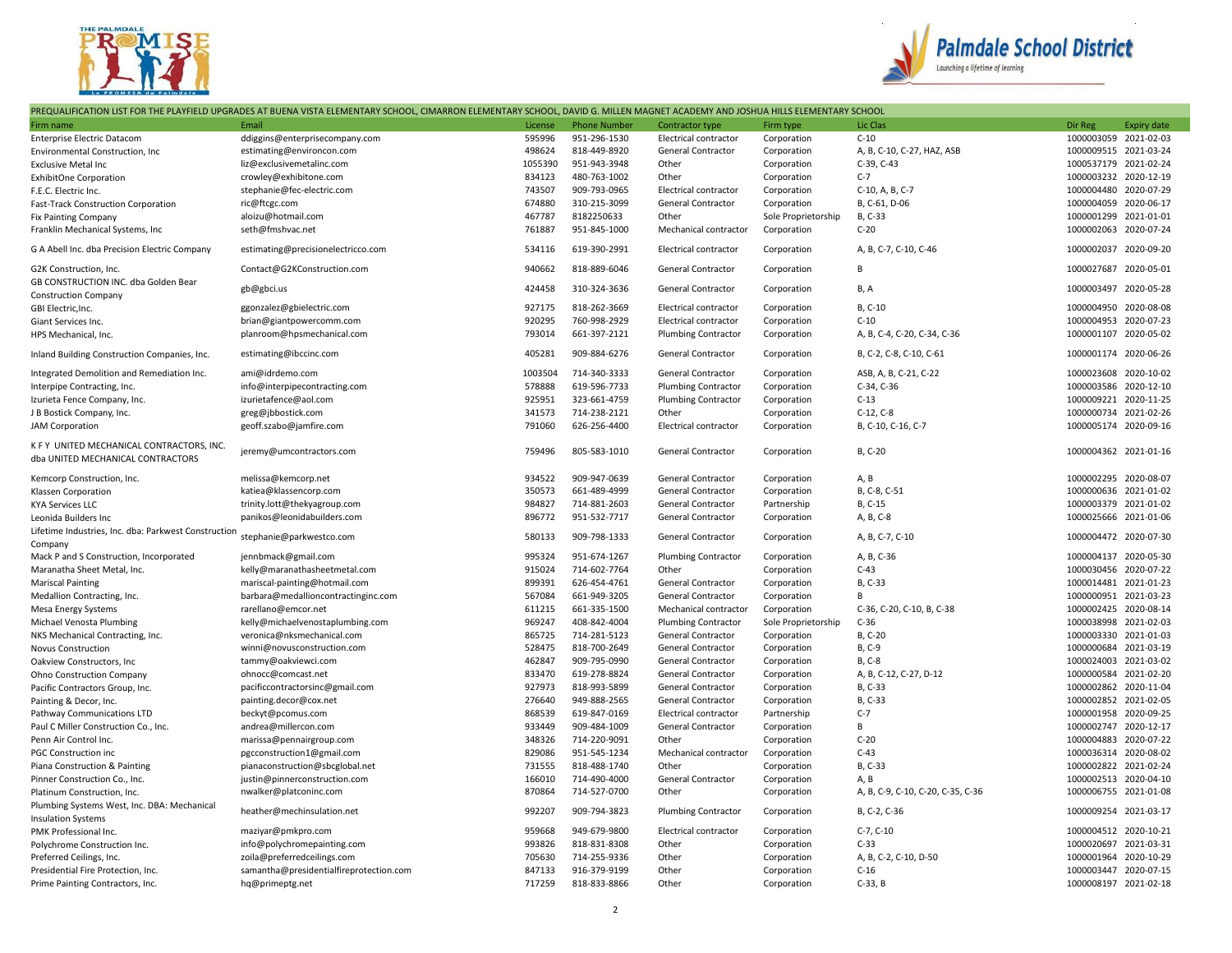



| PREQUALIFICATION LIST FOR THE PLAYFIELD UPGRADES AT BUENA VISTA ELEMENTARY SCHOOL, CIMARRON ELEMENTARY SCHOOL, DAVID G. MILLEN MAGNET ACADEMY AND JOSHUA HILLS ELEMENTARY SCHOOL |                                         |         |                     |                              |                     |                                   |                       |                    |
|----------------------------------------------------------------------------------------------------------------------------------------------------------------------------------|-----------------------------------------|---------|---------------------|------------------------------|---------------------|-----------------------------------|-----------------------|--------------------|
| Firm name                                                                                                                                                                        | Email                                   | License | <b>Phone Number</b> | Contractor type              | Firm type           | Lic Clas                          | Dir Reg               | <b>Expiry date</b> |
| <b>Enterprise Electric Datacom</b>                                                                                                                                               | ddiggins@enterprisecompany.com          | 595996  | 951-296-1530        | Electrical contractor        | Corporation         | $C-10$                            | 1000003059 2021-02-03 |                    |
| Environmental Construction, Inc.                                                                                                                                                 | estimating@environcon.com               | 498624  | 818-449-8920        | General Contractor           | Corporation         | A, B, C-10, C-27, HAZ, ASB        | 1000009515 2021-03-24 |                    |
| <b>Exclusive Metal Inc</b>                                                                                                                                                       | liz@exclusivemetalinc.com               | 1055390 | 951-943-3948        | Other                        | Corporation         | C-39, C-43                        | 1000537179 2021-02-24 |                    |
| <b>ExhibitOne Corporation</b>                                                                                                                                                    | crowley@exhibitone.com                  | 834123  | 480-763-1002        | Other                        | Corporation         | $C-7$                             | 1000003232 2020-12-19 |                    |
| F.E.C. Electric Inc.                                                                                                                                                             | stephanie@fec-electric.com              | 743507  | 909-793-0965        | Electrical contractor        | Corporation         | C-10, A, B, C-7                   | 1000004480 2020-07-29 |                    |
| Fast-Track Construction Corporation                                                                                                                                              | ric@ftcgc.com                           | 674880  | 310-215-3099        | General Contractor           | Corporation         | B, C-61, D-06                     | 1000004059 2020-06-17 |                    |
| <b>Fix Painting Company</b>                                                                                                                                                      | aloizu@hotmail.com                      | 467787  | 8182250633          | Other                        | Sole Proprietorship | B, C-33                           | 1000001299 2021-01-01 |                    |
| Franklin Mechanical Systems, Inc                                                                                                                                                 | seth@fmshvac.net                        | 761887  | 951-845-1000        | Mechanical contractor        | Corporation         | $C-20$                            | 1000002063 2020-07-24 |                    |
| G A Abell Inc. dba Precision Electric Company                                                                                                                                    | estimating@precisionelectricco.com      | 534116  | 619-390-2991        | Electrical contractor        | Corporation         | A, B, C-7, C-10, C-46             | 1000002037 2020-09-20 |                    |
| G2K Construction, Inc.                                                                                                                                                           | Contact@G2KConstruction.com             | 940662  | 818-889-6046        | General Contractor           | Corporation         | B                                 | 1000027687 2020-05-01 |                    |
| GB CONSTRUCTION INC. dba Golden Bear                                                                                                                                             | gb@gbci.us                              | 424458  | 310-324-3636        | General Contractor           | Corporation         | B, A                              | 1000003497 2020-05-28 |                    |
| <b>Construction Company</b>                                                                                                                                                      |                                         |         |                     |                              |                     |                                   |                       |                    |
| GBI Electric, Inc.                                                                                                                                                               | ggonzalez@gbielectric.com               | 927175  | 818-262-3669        | <b>Electrical contractor</b> | Corporation         | B, C-10                           | 1000004950 2020-08-08 |                    |
| Giant Services Inc.                                                                                                                                                              | brian@giantpowercomm.com                | 920295  | 760-998-2929        | Electrical contractor        | Corporation         | $C-10$                            | 1000004953 2020-07-23 |                    |
| HPS Mechanical, Inc.                                                                                                                                                             | planroom@hpsmechanical.com              | 793014  | 661-397-2121        | <b>Plumbing Contractor</b>   | Corporation         | A, B, C-4, C-20, C-34, C-36       | 1000001107 2020-05-02 |                    |
| Inland Building Construction Companies, Inc.                                                                                                                                     | estimating@ibccinc.com                  | 405281  | 909-884-6276        | General Contractor           | Corporation         | B, C-2, C-8, C-10, C-61           | 1000001174 2020-06-26 |                    |
| Integrated Demolition and Remediation Inc.                                                                                                                                       | ami@idrdemo.com                         | 1003504 | 714-340-3333        | <b>General Contractor</b>    | Corporation         | ASB, A, B, C-21, C-22             | 1000023608 2020-10-02 |                    |
| Interpipe Contracting, Inc.                                                                                                                                                      | info@interpipecontracting.com           | 578888  | 619-596-7733        | <b>Plumbing Contractor</b>   | Corporation         | C-34, C-36                        | 1000003586 2020-12-10 |                    |
| Izurieta Fence Company, Inc.                                                                                                                                                     | izurietafence@aol.com                   | 925951  | 323-661-4759        | <b>Plumbing Contractor</b>   | Corporation         | $C-13$                            | 1000009221 2020-11-25 |                    |
| J B Bostick Company, Inc.                                                                                                                                                        | greg@jbbostick.com                      | 341573  | 714-238-2121        | Other                        | Corporation         | $C-12, C-8$                       | 1000000734 2021-02-26 |                    |
| <b>JAM Corporation</b>                                                                                                                                                           | geoff.szabo@jamfire.com                 | 791060  | 626-256-4400        | Electrical contractor        | Corporation         | B, C-10, C-16, C-7                | 1000005174 2020-09-16 |                    |
| K F Y UNITED MECHANICAL CONTRACTORS, INC.                                                                                                                                        |                                         |         |                     |                              |                     |                                   |                       |                    |
| dba UNITED MECHANICAL CONTRACTORS                                                                                                                                                | jeremy@umcontractors.com                | 759496  | 805-583-1010        | General Contractor           | Corporation         | B, C-20                           | 1000004362 2021-01-16 |                    |
| Kemcorp Construction, Inc.                                                                                                                                                       | melissa@kemcorp.net                     | 934522  | 909-947-0639        | General Contractor           | Corporation         | A, B                              | 1000002295 2020-08-07 |                    |
| Klassen Corporation                                                                                                                                                              | katiea@klassencorp.com                  | 350573  | 661-489-4999        | General Contractor           | Corporation         | B, C-8, C-51                      | 1000000636 2021-01-02 |                    |
| <b>KYA Services LLC</b>                                                                                                                                                          | trinity.lott@thekyagroup.com            | 984827  | 714-881-2603        | General Contractor           | Partnership         | B, C-15                           | 1000003379 2021-01-02 |                    |
| Leonida Builders Inc                                                                                                                                                             | panikos@leonidabuilders.com             | 896772  | 951-532-7717        | General Contractor           | Corporation         | A, B, C-8                         | 1000025666 2021-01-06 |                    |
| Lifetime Industries, Inc. dba: Parkwest Construction<br>Company                                                                                                                  | stephanie@parkwestco.com                | 580133  | 909-798-1333        | General Contractor           | Corporation         | A, B, C-7, C-10                   | 1000004472 2020-07-30 |                    |
| Mack P and S Construction, Incorporated                                                                                                                                          | jennbmack@gmail.com                     | 995324  | 951-674-1267        | <b>Plumbing Contractor</b>   | Corporation         | A, B, C-36                        | 1000004137 2020-05-30 |                    |
| Maranatha Sheet Metal, Inc.                                                                                                                                                      | kelly@maranathasheetmetal.com           | 915024  | 714-602-7764        | Other                        | Corporation         | $C-43$                            | 1000030456 2020-07-22 |                    |
| <b>Mariscal Painting</b>                                                                                                                                                         | mariscal-painting@hotmail.com           | 899391  | 626-454-4761        | General Contractor           | Corporation         | B, C-33                           | 1000014481 2021-01-23 |                    |
| Medallion Contracting, Inc.                                                                                                                                                      | barbara@medallioncontractinginc.com     | 567084  | 661-949-3205        | General Contractor           | Corporation         | B                                 | 1000000951 2021-03-23 |                    |
| Mesa Energy Systems                                                                                                                                                              | rarellano@emcor.net                     | 611215  | 661-335-1500        | Mechanical contractor        | Corporation         | C-36, C-20, C-10, B, C-38         | 1000002425 2020-08-14 |                    |
| Michael Venosta Plumbing                                                                                                                                                         | kelly@michaelvenostaplumbing.com        | 969247  | 408-842-4004        | <b>Plumbing Contractor</b>   | Sole Proprietorship | $C-36$                            | 1000038998 2021-02-03 |                    |
| NKS Mechanical Contracting, Inc.                                                                                                                                                 | veronica@nksmechanical.com              | 865725  | 714-281-5123        | General Contractor           | Corporation         | B, C-20                           | 1000003330 2021-01-03 |                    |
| <b>Novus Construction</b>                                                                                                                                                        | winni@novusconstruction.com             | 528475  | 818-700-2649        | General Contractor           | Corporation         | B, C-9                            | 1000000684 2021-03-19 |                    |
| Oakview Constructors, Inc                                                                                                                                                        | tammy@oakviewci.com                     | 462847  | 909-795-0990        | General Contractor           | Corporation         | B, C-8                            | 1000024003 2021-03-02 |                    |
| Ohno Construction Company                                                                                                                                                        | ohnocc@comcast.net                      | 833470  | 619-278-8824        | General Contractor           | Corporation         | A, B, C-12, C-27, D-12            | 1000000584 2021-02-20 |                    |
| Pacific Contractors Group, Inc.                                                                                                                                                  | pacificcontractorsinc@gmail.com         | 927973  | 818-993-5899        | General Contractor           | Corporation         | B, C-33                           | 1000002862 2020-11-04 |                    |
| Painting & Decor, Inc.                                                                                                                                                           | painting.decor@cox.net                  | 276640  | 949-888-2565        | General Contractor           | Corporation         | B, C-33                           | 1000002852 2021-02-05 |                    |
| Pathway Communications LTD                                                                                                                                                       | beckyt@pcomus.com                       | 868539  | 619-847-0169        | Electrical contractor        | Partnership         | $C-7$                             | 1000001958 2020-09-25 |                    |
| Paul C Miller Construction Co., Inc.                                                                                                                                             | andrea@millercon.com                    | 933449  | 909-484-1009        | General Contractor           | Corporation         | B                                 | 1000002747 2020-12-17 |                    |
| Penn Air Control Inc.                                                                                                                                                            | marissa@pennairgroup.com                | 348326  | 714-220-9091        | Other                        | Corporation         | $C-20$                            | 1000004883 2020-07-22 |                    |
| <b>PGC Construction inc</b>                                                                                                                                                      | pgcconstruction1@gmail.com              | 829086  | 951-545-1234        | Mechanical contractor        | Corporation         | $C-43$                            | 1000036314 2020-08-02 |                    |
| Piana Construction & Painting                                                                                                                                                    | pianaconstruction@sbcglobal.net         | 731555  | 818-488-1740        | Other                        | Corporation         | B, C-33                           | 1000002822 2021-02-24 |                    |
|                                                                                                                                                                                  | justin@pinnerconstruction.com           | 166010  | 714-490-4000        | General Contractor           | Corporation         | A, B                              | 1000002513 2020-04-10 |                    |
| Pinner Construction Co., Inc.<br>Platinum Construction, Inc.                                                                                                                     | nwalker@platconinc.com                  | 870864  | 714-527-0700        | Other                        | Corporation         | A, B, C-9, C-10, C-20, C-35, C-36 | 1000006755 2021-01-08 |                    |
|                                                                                                                                                                                  |                                         |         |                     |                              |                     |                                   |                       |                    |
| Plumbing Systems West, Inc. DBA: Mechanical<br><b>Insulation Systems</b>                                                                                                         | heather@mechinsulation.net              | 992207  | 909-794-3823        | <b>Plumbing Contractor</b>   | Corporation         | B, C-2, C-36                      | 1000009254 2021-03-17 |                    |
| PMK Professional Inc.                                                                                                                                                            | maziyar@pmkpro.com                      | 959668  | 949-679-9800        | Electrical contractor        | Corporation         | $C-7, C-10$                       | 1000004512 2020-10-21 |                    |
| Polychrome Construction Inc.                                                                                                                                                     | info@polychromepainting.com             | 993826  | 818-831-8308        | Other                        | Corporation         | $C-33$                            | 1000020697 2021-03-31 |                    |
| Preferred Ceilings, Inc.                                                                                                                                                         | zoila@preferredceilings.com             | 705630  | 714-255-9336        | Other                        | Corporation         | A, B, C-2, C-10, D-50             | 1000001964 2020-10-29 |                    |
| Presidential Fire Protection, Inc.                                                                                                                                               | samantha@presidentialfireprotection.com | 847133  | 916-379-9199        | Other                        | Corporation         | $C-16$                            | 1000003447 2020-07-15 |                    |
| Prime Painting Contractors, Inc.                                                                                                                                                 | hq@primeptg.net                         | 717259  | 818-833-8866        | Other                        | Corporation         | $C-33$ , $B$                      | 1000008197 2021-02-18 |                    |